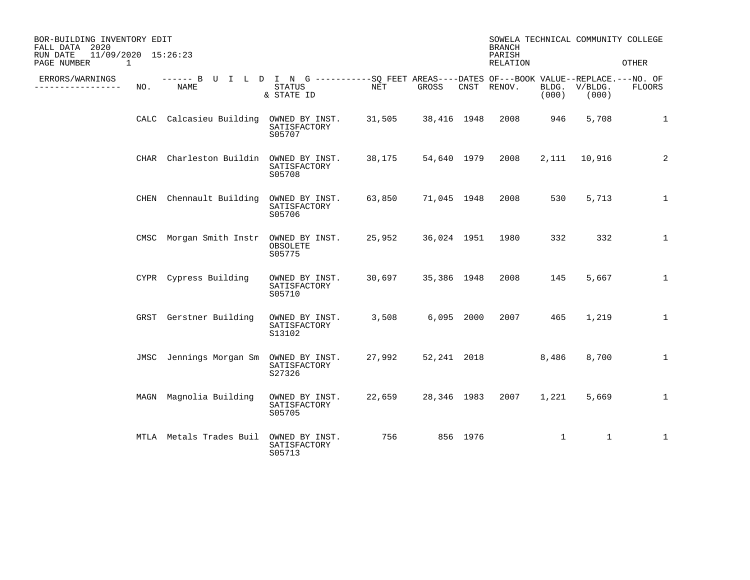| BOR-BUILDING INVENTORY EDIT<br>FALL DATA 2020<br>11/09/2020 15:26:23<br>RUN DATE |      |                                                                                                    |                                          |                      |             |          | <b>BRANCH</b><br>PARISH |                | SOWELA TECHNICAL COMMUNITY COLLEGE |               |
|----------------------------------------------------------------------------------|------|----------------------------------------------------------------------------------------------------|------------------------------------------|----------------------|-------------|----------|-------------------------|----------------|------------------------------------|---------------|
| PAGE NUMBER<br>1                                                                 |      |                                                                                                    |                                          |                      |             |          | RELATION                |                |                                    | OTHER         |
| ERRORS/WARNINGS<br>-------------                                                 | NO.  | ------ B U I L D I N G ----------SO FEET AREAS----DATES OF---BOOK VALUE--REPLACE.---NO. OF<br>NAME | STATUS<br>& STATE ID                     | $\operatorname{NET}$ | GROSS       |          | CNST RENOV.             | BLDG.<br>(000) | V/BLDG.<br>(000)                   | <b>FLOORS</b> |
|                                                                                  |      | CALC Calcasieu Building OWNED BY INST.                                                             | SATISFACTORY<br>S05707                   | 31,505               | 38,416 1948 |          | 2008                    | 946            | 5,708                              | 1             |
|                                                                                  | CHAR | Charleston Buildin OWNED BY INST.                                                                  | SATISFACTORY<br>S05708                   | 38,175               | 54,640 1979 |          | 2008                    |                | 2, 111 10, 916                     | 2             |
|                                                                                  | CHEN | Chennault Building                                                                                 | OWNED BY INST.<br>SATISFACTORY<br>S05706 | 63,850               | 71,045 1948 |          | 2008                    | 530            | 5,713                              | $\mathbf{1}$  |
|                                                                                  |      | CMSC Morgan Smith Instr                                                                            | OWNED BY INST.<br>OBSOLETE<br>S05775     | 25,952               | 36,024 1951 |          | 1980                    | 332            | 332                                | 1             |
|                                                                                  |      | CYPR Cypress Building                                                                              | OWNED BY INST.<br>SATISFACTORY<br>S05710 | 30,697               | 35,386 1948 |          | 2008                    | 145            | 5,667                              | $\mathbf{1}$  |
|                                                                                  |      | GRST Gerstner Building                                                                             | OWNED BY INST.<br>SATISFACTORY<br>S13102 | 3,508                | 6,095 2000  |          | 2007                    | 465            | 1,219                              | 1             |
|                                                                                  |      | JMSC Jennings Morgan Sm OWNED BY INST.                                                             | SATISFACTORY<br>S27326                   | 27,992               | 52,241 2018 |          |                         | 8,486          | 8,700                              | $\mathbf{1}$  |
|                                                                                  |      | MAGN Magnolia Building                                                                             | OWNED BY INST.<br>SATISFACTORY<br>S05705 | 22,659               | 28,346 1983 |          | 2007                    | 1,221          | 5,669                              | $\mathbf{1}$  |
|                                                                                  |      | MTLA Metals Trades Buil                                                                            | OWNED BY INST.<br>SATISFACTORY<br>S05713 | 756                  |             | 856 1976 |                         | 1              | $\mathbf{1}$                       | 1             |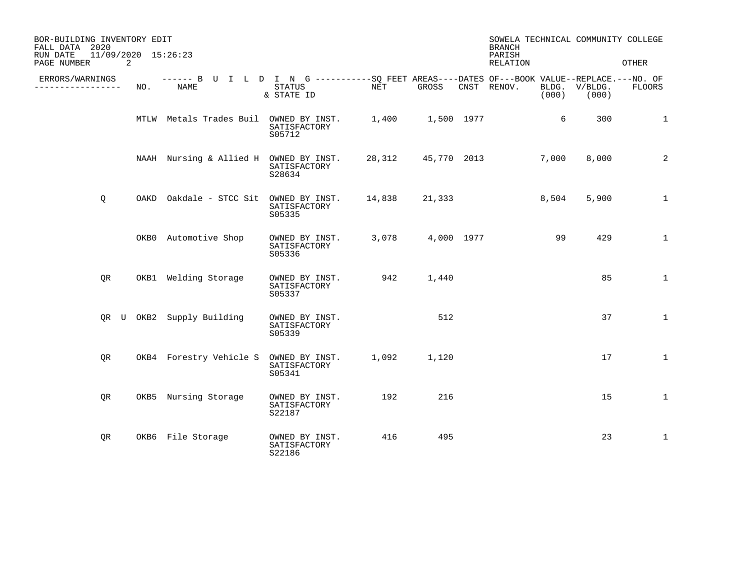| BOR-BUILDING INVENTORY EDIT<br>FALL DATA 2020<br>11/09/2020 15:26:23<br>RUN DATE |     |                                                                                                     |                                          |                      |        | SOWELA TECHNICAL COMMUNITY COLLEGE<br><b>BRANCH</b><br>PARISH |                        |              |
|----------------------------------------------------------------------------------|-----|-----------------------------------------------------------------------------------------------------|------------------------------------------|----------------------|--------|---------------------------------------------------------------|------------------------|--------------|
| PAGE NUMBER                                                                      | 2   |                                                                                                     |                                          |                      |        | RELATION                                                      |                        | <b>OTHER</b> |
| ERRORS/WARNINGS<br>--------------                                                | NO. | ------ B U I L D I N G -----------SQ FEET AREAS----DATES OF---BOOK VALUE--REPLACE.---NO. OF<br>NAME | STATUS<br>& STATE ID                     | NET                  | GROSS  | CNST RENOV.<br>(000)                                          | BLDG. V/BLDG.<br>(000) | FLOORS       |
|                                                                                  |     | MTLW Metals Trades Buil OWNED BY INST.                                                              | SATISFACTORY<br>S05712                   | 1,400   1,500   1977 |        | 6                                                             | 300                    | 1            |
|                                                                                  |     | NAAH Nursing & Allied H OWNED BY INST.                                                              | SATISFACTORY<br>S28634                   |                      |        | 28,312 45,770 2013<br>7,000                                   | 8,000                  | 2            |
| Q                                                                                |     | OAKD Oakdale - STCC Sit OWNED BY INST.                                                              | SATISFACTORY<br>S05335                   | 14,838               | 21,333 | 8,504                                                         | 5,900                  | $\mathbf{1}$ |
|                                                                                  |     | OKB0 Automotive Shop                                                                                | OWNED BY INST.<br>SATISFACTORY<br>S05336 |                      |        | 3,078 4,000 1977<br>99                                        | 429                    | $\mathbf{1}$ |
| QR                                                                               |     | OKB1 Welding Storage                                                                                | OWNED BY INST.<br>SATISFACTORY<br>S05337 | 942                  | 1,440  |                                                               | 85                     | $\mathbf{1}$ |
|                                                                                  |     | QR U OKB2 Supply Building                                                                           | OWNED BY INST.<br>SATISFACTORY<br>S05339 |                      | 512    |                                                               | 37                     | $\mathbf{1}$ |
| QR                                                                               |     | OKB4 Forestry Vehicle S                                                                             | OWNED BY INST.<br>SATISFACTORY<br>S05341 | 1,092                | 1,120  |                                                               | 17                     | $\mathbf{1}$ |
| OR.                                                                              |     | OKB5 Nursing Storage                                                                                | OWNED BY INST.<br>SATISFACTORY<br>S22187 | 192                  | 216    |                                                               | 15                     | $\mathbf{1}$ |
| QR                                                                               |     | OKB6 File Storage                                                                                   | OWNED BY INST.<br>SATISFACTORY<br>S22186 | 416                  | 495    |                                                               | 23                     | $\mathbf{1}$ |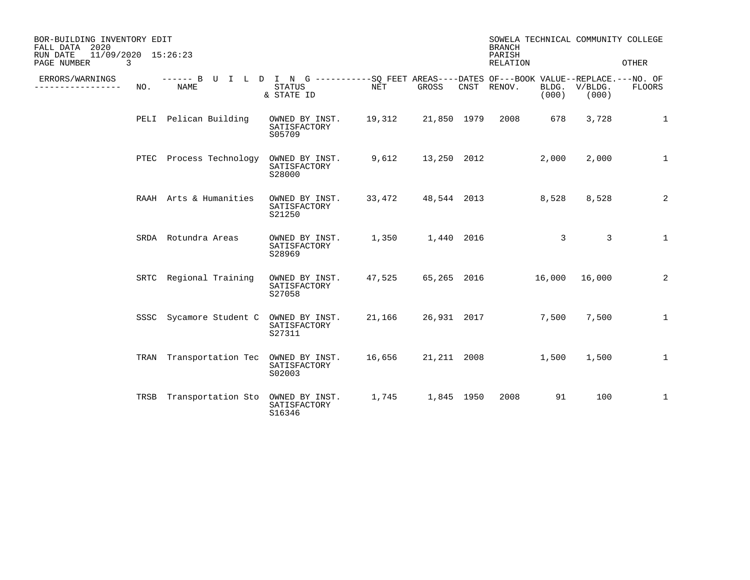| BOR-BUILDING INVENTORY EDIT<br>FALL DATA 2020<br>11/09/2020 15:26:23<br>RUN DATE |      |                                                                                                     |                                          |        |                    | SOWELA TECHNICAL COMMUNITY COLLEGE<br><b>BRANCH</b><br>PARISH |       |                        |              |
|----------------------------------------------------------------------------------|------|-----------------------------------------------------------------------------------------------------|------------------------------------------|--------|--------------------|---------------------------------------------------------------|-------|------------------------|--------------|
| PAGE NUMBER                                                                      | 3    |                                                                                                     |                                          |        |                    | RELATION                                                      |       |                        | OTHER        |
| ERRORS/WARNINGS                                                                  | NO.  | ------ B U I L D I N G -----------SO FEET AREAS----DATES OF---BOOK VALUE--REPLACE.---NO. OF<br>NAME | STATUS<br>& STATE ID                     | NET    | GROSS              | CNST RENOV.                                                   | (000) | BLDG. V/BLDG.<br>(000) | FLOORS       |
|                                                                                  |      | PELI Pelican Building                                                                               | OWNED BY INST.<br>SATISFACTORY<br>S05709 | 19,312 | 21,850 1979        | 2008                                                          | 678   | 3,728                  | $\mathbf{1}$ |
|                                                                                  |      | PTEC Process Technology OWNED BY INST.                                                              | SATISFACTORY<br>S28000                   | 9,612  |                    | 13,250 2012                                                   | 2,000 | 2,000                  | $\mathbf{1}$ |
|                                                                                  |      | RAAH Arts & Humanities                                                                              | OWNED BY INST.<br>SATISFACTORY<br>S21250 |        |                    | 33,472 48,544 2013                                            | 8,528 | 8,528                  | 2            |
|                                                                                  |      | SRDA Rotundra Areas                                                                                 | OWNED BY INST.<br>SATISFACTORY<br>S28969 |        | 1,350 1,440 2016   |                                                               | 3     | 3                      | $\mathbf{1}$ |
|                                                                                  |      | SRTC Regional Training                                                                              | OWNED BY INST.<br>SATISFACTORY<br>S27058 |        | 47,525 65,265 2016 | 16,000                                                        |       | 16,000                 | 2            |
|                                                                                  | SSSC | Sycamore Student C OWNED BY INST.                                                                   | SATISFACTORY<br>S27311                   |        |                    | 21,166 26,931 2017                                            | 7,500 | 7,500                  | $\mathbf{1}$ |
|                                                                                  |      | TRAN Transportation Tec OWNED BY INST.                                                              | SATISFACTORY<br>S02003                   | 16,656 | 21,211 2008        |                                                               | 1,500 | 1,500                  | $\mathbf{1}$ |
|                                                                                  |      | TRSB Transportation Sto OWNED BY INST.                                                              | SATISFACTORY<br>S16346                   | 1,745  | 1,845 1950         | 2008                                                          | 91    | 100                    | $\mathbf{1}$ |